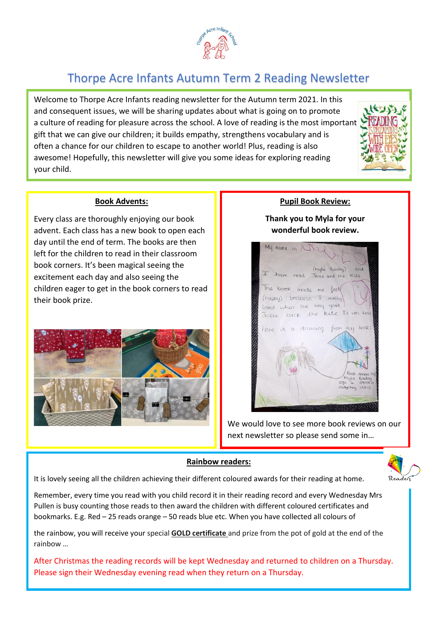

# Thorpe Acre Infants Autumn Term 2 Reading Newsletter

Welcome to Thorpe Acre Infants reading newsletter for the Autumn term 2021. In this and consequent issues, we will be sharing updates about what is going on to promote a culture of reading for pleasure across the school. A love of reading is the most important gift that we can give our children; it builds empathy, strengthens vocabulary and is often a chance for our children to escape to another world! Plus, reading is also awesome! Hopefully, this newsletter will give you some ideas for exploring reading your child.



#### **Book Advents:**

Every class are thoroughly enjoying our book advent. Each class has a new book to open each day until the end of term. The books are then left for the children to read in their classroom book corners. It's been magical seeing the excitement each day and also seeing the children eager to get in the book corners to read their book prize.



### **Pupil Book Review:**

**Thank you to Myla for your wonderful book review.**



We would love to see more book reviews on our next newsletter so please send some in…

#### **Rainbow readers:**



It is lovely seeing all the children achieving their different coloured awards for their reading at home.

Remember, every time you read with you child record it in their reading record and every Wednesday Mrs Pullen is busy counting those reads to then award the children with different coloured certificates and bookmarks. E.g. Red – 25 reads orange – 50 reads blue etc. When you have collected all colours of

the rainbow, you will receive your special **GOLD certificate** and prize from the pot of gold at the end of the rainbow …

After Christmas the reading records will be kept Wednesday and returned to children on a Thursday. Please sign their Wednesday evening read when they return on a Thursday.